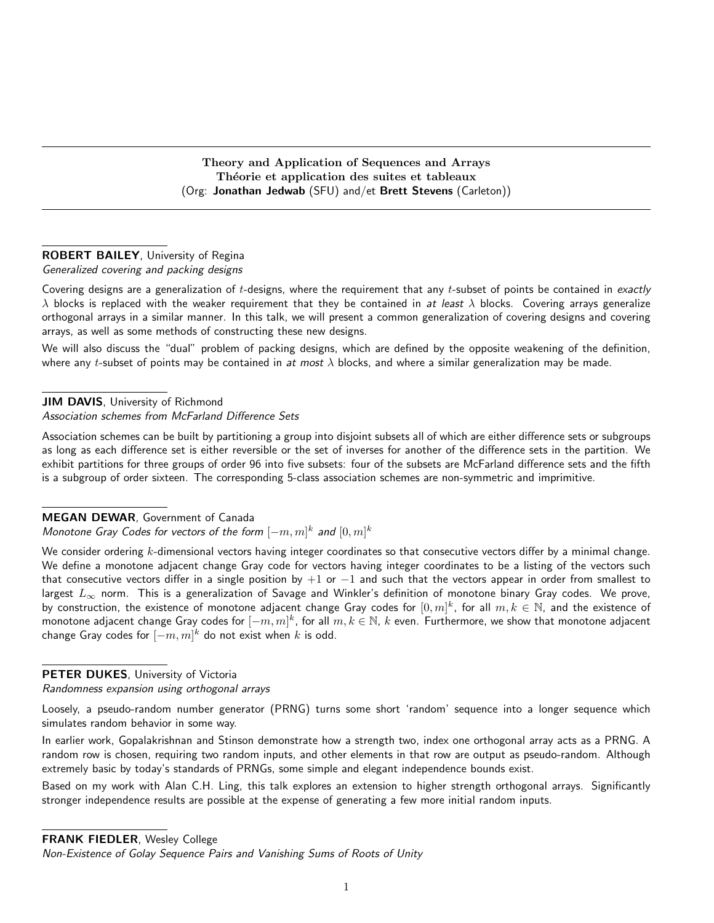Theory and Application of Sequences and Arrays Théorie et application des suites et tableaux (Org: Jonathan Jedwab (SFU) and/et Brett Stevens (Carleton))

### ROBERT BAILEY, University of Regina Generalized covering and packing designs

Covering designs are a generalization of  $t$ -designs, where the requirement that any  $t$ -subset of points be contained in exactly  $\lambda$  blocks is replaced with the weaker requirement that they be contained in at least  $\lambda$  blocks. Covering arrays generalize orthogonal arrays in a similar manner. In this talk, we will present a common generalization of covering designs and covering arrays, as well as some methods of constructing these new designs.

We will also discuss the "dual" problem of packing designs, which are defined by the opposite weakening of the definition, where any t-subset of points may be contained in at most  $\lambda$  blocks, and where a similar generalization may be made.

# JIM DAVIS, University of Richmond

Association schemes from McFarland Difference Sets

Association schemes can be built by partitioning a group into disjoint subsets all of which are either difference sets or subgroups as long as each difference set is either reversible or the set of inverses for another of the difference sets in the partition. We exhibit partitions for three groups of order 96 into five subsets: four of the subsets are McFarland difference sets and the fifth is a subgroup of order sixteen. The corresponding 5-class association schemes are non-symmetric and imprimitive.

## MEGAN DEWAR, Government of Canada

Monotone Gray Codes for vectors of the form  $[-m, m]^k$  and  $[0, m]^k$ 

We consider ordering k-dimensional vectors having integer coordinates so that consecutive vectors differ by a minimal change. We define a monotone adjacent change Gray code for vectors having integer coordinates to be a listing of the vectors such that consecutive vectors differ in a single position by  $+1$  or  $-1$  and such that the vectors appear in order from smallest to largest  $L_{\infty}$  norm. This is a generalization of Savage and Winkler's definition of monotone binary Gray codes. We prove, by construction, the existence of monotone adjacent change Gray codes for  $[0,m]^k$ , for all  $m,k\in\mathbb{N}$ , and the existence of monotone adjacent change Gray codes for  $[-m,m]^k$ , for all  $m,k\in\mathbb{N}$ ,  $k$  even. Furthermore, we show that monotone adjacent change Gray codes for  $[-m,m]^k$  do not exist when  $k$  is odd.

PETER DUKES, University of Victoria

Randomness expansion using orthogonal arrays

Loosely, a pseudo-random number generator (PRNG) turns some short 'random' sequence into a longer sequence which simulates random behavior in some way.

In earlier work, Gopalakrishnan and Stinson demonstrate how a strength two, index one orthogonal array acts as a PRNG. A random row is chosen, requiring two random inputs, and other elements in that row are output as pseudo-random. Although extremely basic by today's standards of PRNGs, some simple and elegant independence bounds exist.

Based on my work with Alan C.H. Ling, this talk explores an extension to higher strength orthogonal arrays. Significantly stronger independence results are possible at the expense of generating a few more initial random inputs.

FRANK FIEDLER, Wesley College

Non-Existence of Golay Sequence Pairs and Vanishing Sums of Roots of Unity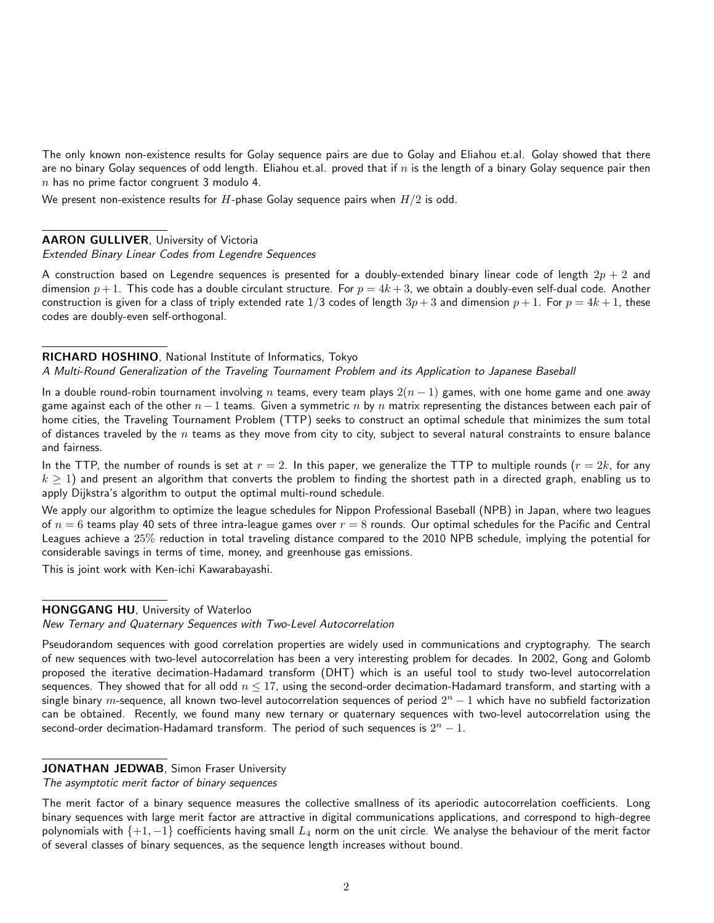The only known non-existence results for Golay sequence pairs are due to Golay and Eliahou et.al. Golay showed that there are no binary Golay sequences of odd length. Eliahou et.al. proved that if  $n$  is the length of a binary Golay sequence pair then  $n$  has no prime factor congruent 3 modulo 4.

We present non-existence results for  $H$ -phase Golay sequence pairs when  $H/2$  is odd.

#### AARON GULLIVER, University of Victoria

Extended Binary Linear Codes from Legendre Sequences

A construction based on Legendre sequences is presented for a doubly-extended binary linear code of length  $2p + 2$  and dimension  $p+1$ . This code has a double circulant structure. For  $p = 4k + 3$ , we obtain a doubly-even self-dual code. Another construction is given for a class of triply extended rate 1/3 codes of length  $3p+3$  and dimension  $p+1$ . For  $p = 4k+1$ , these codes are doubly-even self-orthogonal.

#### RICHARD HOSHINO, National Institute of Informatics, Tokyo

#### A Multi-Round Generalization of the Traveling Tournament Problem and its Application to Japanese Baseball

In a double round-robin tournament involving n teams, every team plays  $2(n-1)$  games, with one home game and one away game against each of the other  $n-1$  teams. Given a symmetric n by n matrix representing the distances between each pair of home cities, the Traveling Tournament Problem (TTP) seeks to construct an optimal schedule that minimizes the sum total of distances traveled by the  $n$  teams as they move from city to city, subject to several natural constraints to ensure balance and fairness.

In the TTP, the number of rounds is set at  $r = 2$ . In this paper, we generalize the TTP to multiple rounds  $(r = 2k)$ , for any  $k \ge 1$ ) and present an algorithm that converts the problem to finding the shortest path in a directed graph, enabling us to apply Dijkstra's algorithm to output the optimal multi-round schedule.

We apply our algorithm to optimize the league schedules for Nippon Professional Baseball (NPB) in Japan, where two leagues of  $n = 6$  teams play 40 sets of three intra-league games over  $r = 8$  rounds. Our optimal schedules for the Pacific and Central Leagues achieve a 25% reduction in total traveling distance compared to the 2010 NPB schedule, implying the potential for considerable savings in terms of time, money, and greenhouse gas emissions.

This is joint work with Ken-ichi Kawarabayashi.

#### HONGGANG HU, University of Waterloo

New Ternary and Quaternary Sequences with Two-Level Autocorrelation

Pseudorandom sequences with good correlation properties are widely used in communications and cryptography. The search of new sequences with two-level autocorrelation has been a very interesting problem for decades. In 2002, Gong and Golomb proposed the iterative decimation-Hadamard transform (DHT) which is an useful tool to study two-level autocorrelation sequences. They showed that for all odd  $n \leq 17$ , using the second-order decimation-Hadamard transform, and starting with a single binary  $m$ -sequence, all known two-level autocorrelation sequences of period  $2^n-1$  which have no subfield factorization can be obtained. Recently, we found many new ternary or quaternary sequences with two-level autocorrelation using the second-order decimation-Hadamard transform. The period of such sequences is  $2^{n} - 1$ .

## JONATHAN JEDWAB, Simon Fraser University

The asymptotic merit factor of binary sequences

The merit factor of a binary sequence measures the collective smallness of its aperiodic autocorrelation coefficients. Long binary sequences with large merit factor are attractive in digital communications applications, and correspond to high-degree polynomials with  $\{+1,-1\}$  coefficients having small  $L_4$  norm on the unit circle. We analyse the behaviour of the merit factor of several classes of binary sequences, as the sequence length increases without bound.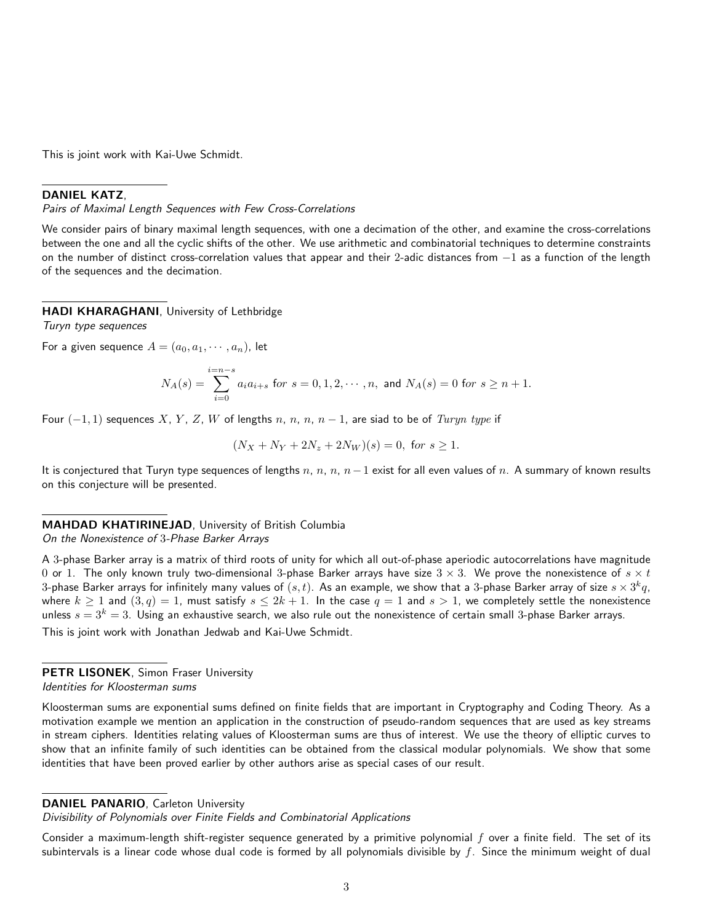This is joint work with Kai-Uwe Schmidt.

### DANIEL KATZ,

Pairs of Maximal Length Sequences with Few Cross-Correlations

We consider pairs of binary maximal length sequences, with one a decimation of the other, and examine the cross-correlations between the one and all the cyclic shifts of the other. We use arithmetic and combinatorial techniques to determine constraints on the number of distinct cross-correlation values that appear and their 2-adic distances from  $-1$  as a function of the length of the sequences and the decimation.

### HADI KHARAGHANI, University of Lethbridge

Turyn type sequences

For a given sequence  $A = (a_0, a_1, \dots, a_n)$ , let

$$
N_A(s) = \sum_{i=0}^{i=n-s} a_i a_{i+s} \text{ for } s = 0, 1, 2, \cdots, n, \text{ and } N_A(s) = 0 \text{ for } s \ge n+1.
$$

Four  $(-1, 1)$  sequences X, Y, Z, W of lengths n, n, n, n – 1, are siad to be of Turyn type if

$$
(N_X + N_Y + 2N_z + 2N_W)(s) = 0
$$
, for  $s \ge 1$ .

It is conjectured that Turyn type sequences of lengths n, n, n, n – 1 exist for all even values of n. A summary of known results on this conjecture will be presented.

### MAHDAD KHATIRINEJAD, University of British Columbia On the Nonexistence of 3-Phase Barker Arrays

A 3-phase Barker array is a matrix of third roots of unity for which all out-of-phase aperiodic autocorrelations have magnitude 0 or 1. The only known truly two-dimensional 3-phase Barker arrays have size  $3 \times 3$ . We prove the nonexistence of  $s \times t$ 3-phase Barker arrays for infinitely many values of  $(s,t)$ . As an example, we show that a 3-phase Barker array of size  $s\times 3^k q$ , where  $k \ge 1$  and  $(3, q) = 1$ , must satisfy  $s \le 2k + 1$ . In the case  $q = 1$  and  $s > 1$ , we completely settle the nonexistence unless  $s = 3^k = 3$ . Using an exhaustive search, we also rule out the nonexistence of certain small 3-phase Barker arrays. This is joint work with Jonathan Jedwab and Kai-Uwe Schmidt.

PETR LISONEK, Simon Fraser University Identities for Kloosterman sums

Kloosterman sums are exponential sums defined on finite fields that are important in Cryptography and Coding Theory. As a motivation example we mention an application in the construction of pseudo-random sequences that are used as key streams in stream ciphers. Identities relating values of Kloosterman sums are thus of interest. We use the theory of elliptic curves to show that an infinite family of such identities can be obtained from the classical modular polynomials. We show that some identities that have been proved earlier by other authors arise as special cases of our result.

### DANIEL PANARIO, Carleton University

Divisibility of Polynomials over Finite Fields and Combinatorial Applications

Consider a maximum-length shift-register sequence generated by a primitive polynomial  $f$  over a finite field. The set of its subintervals is a linear code whose dual code is formed by all polynomials divisible by  $f$ . Since the minimum weight of dual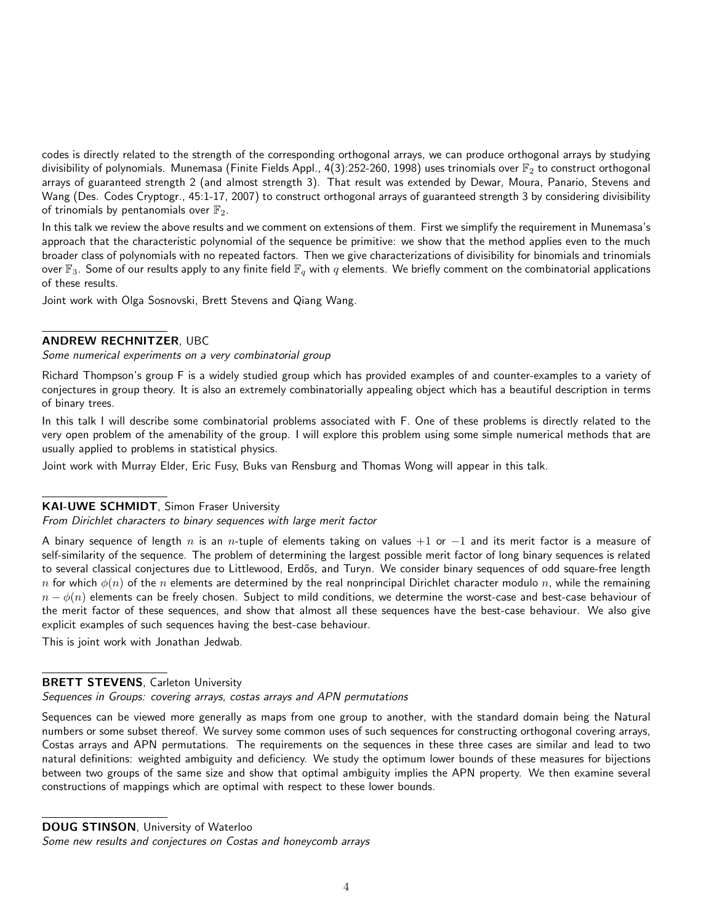codes is directly related to the strength of the corresponding orthogonal arrays, we can produce orthogonal arrays by studying divisibility of polynomials. Munemasa (Finite Fields Appl., 4(3):252-260, 1998) uses trinomials over  $\mathbb{F}_2$  to construct orthogonal arrays of guaranteed strength 2 (and almost strength 3). That result was extended by Dewar, Moura, Panario, Stevens and Wang (Des. Codes Cryptogr., 45:1-17, 2007) to construct orthogonal arrays of guaranteed strength 3 by considering divisibility of trinomials by pentanomials over  $\mathbb{F}_2$ .

In this talk we review the above results and we comment on extensions of them. First we simplify the requirement in Munemasa's approach that the characteristic polynomial of the sequence be primitive: we show that the method applies even to the much broader class of polynomials with no repeated factors. Then we give characterizations of divisibility for binomials and trinomials over  $\mathbb{F}_3$ . Some of our results apply to any finite field  $\mathbb{F}_q$  with q elements. We briefly comment on the combinatorial applications of these results.

Joint work with Olga Sosnovski, Brett Stevens and Qiang Wang.

#### ANDREW RECHNITZER, UBC

Some numerical experiments on a very combinatorial group

Richard Thompson's group F is a widely studied group which has provided examples of and counter-examples to a variety of conjectures in group theory. It is also an extremely combinatorially appealing object which has a beautiful description in terms of binary trees.

In this talk I will describe some combinatorial problems associated with F. One of these problems is directly related to the very open problem of the amenability of the group. I will explore this problem using some simple numerical methods that are usually applied to problems in statistical physics.

Joint work with Murray Elder, Eric Fusy, Buks van Rensburg and Thomas Wong will appear in this talk.

### KAI-UWE SCHMIDT, Simon Fraser University

# From Dirichlet characters to binary sequences with large merit factor

A binary sequence of length n is an n-tuple of elements taking on values  $+1$  or  $-1$  and its merit factor is a measure of self-similarity of the sequence. The problem of determining the largest possible merit factor of long binary sequences is related to several classical conjectures due to Littlewood, Erdős, and Turyn. We consider binary sequences of odd square-free length n for which  $\phi(n)$  of the n elements are determined by the real nonprincipal Dirichlet character modulo n, while the remaining  $n - \phi(n)$  elements can be freely chosen. Subject to mild conditions, we determine the worst-case and best-case behaviour of the merit factor of these sequences, and show that almost all these sequences have the best-case behaviour. We also give explicit examples of such sequences having the best-case behaviour.

This is joint work with Jonathan Jedwab.

#### **BRETT STEVENS, Carleton University**

Sequences in Groups: covering arrays, costas arrays and APN permutations

Sequences can be viewed more generally as maps from one group to another, with the standard domain being the Natural numbers or some subset thereof. We survey some common uses of such sequences for constructing orthogonal covering arrays, Costas arrays and APN permutations. The requirements on the sequences in these three cases are similar and lead to two natural definitions: weighted ambiguity and deficiency. We study the optimum lower bounds of these measures for bijections between two groups of the same size and show that optimal ambiguity implies the APN property. We then examine several constructions of mappings which are optimal with respect to these lower bounds.

DOUG STINSON, University of Waterloo

Some new results and conjectures on Costas and honeycomb arrays